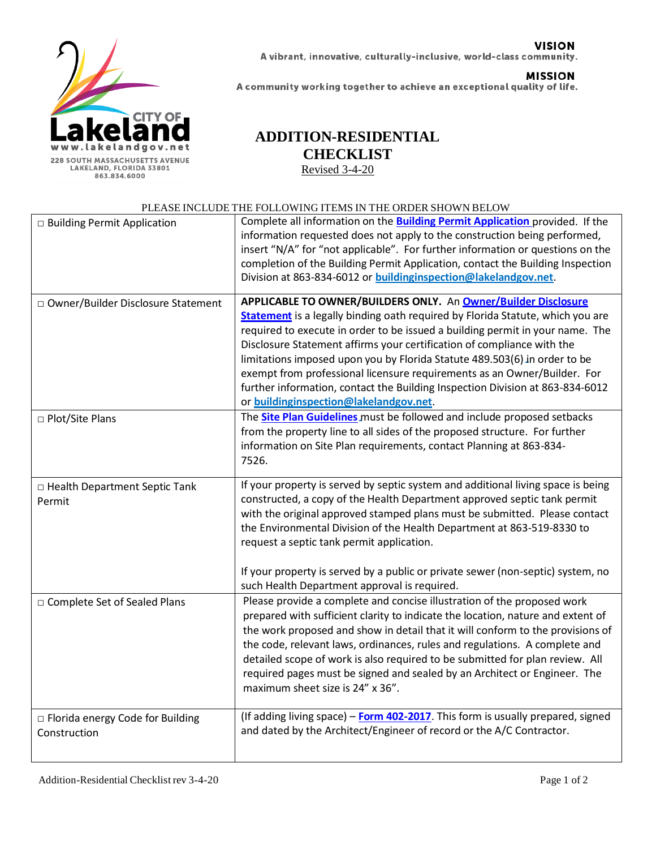

## **VISION** A vibrant, innovative, culturally-inclusive, world-class community.

**MISSION** A community working together to achieve an exceptional quality of life.

## **ADDITION-RESIDENTIAL CHECKLIST**

Revised 3-4-20

## PLEASE INCLUDE THE FOLLOWING ITEMS IN THE ORDER SHOWN BELOW

|                                                    | I LEASE INCLUDE THE PULLO WING IT EMS IN THE UNDER SHOWN DELOW                                                                                                                                                                                                                                                                                                                                                                                                                                                                                                                                         |
|----------------------------------------------------|--------------------------------------------------------------------------------------------------------------------------------------------------------------------------------------------------------------------------------------------------------------------------------------------------------------------------------------------------------------------------------------------------------------------------------------------------------------------------------------------------------------------------------------------------------------------------------------------------------|
| □ Building Permit Application                      | Complete all information on the <b>Building Permit Application</b> provided. If the<br>information requested does not apply to the construction being performed,<br>insert "N/A" for "not applicable". For further information or questions on the<br>completion of the Building Permit Application, contact the Building Inspection<br>Division at 863-834-6012 or buildinginspection@lakelandgov.net.                                                                                                                                                                                                |
| □ Owner/Builder Disclosure Statement               | APPLICABLE TO OWNER/BUILDERS ONLY. An Owner/Builder Disclosure<br><b>Statement</b> is a legally binding oath required by Florida Statute, which you are<br>required to execute in order to be issued a building permit in your name. The<br>Disclosure Statement affirms your certification of compliance with the<br>limitations imposed upon you by Florida Statute 489.503(6) in order to be<br>exempt from professional licensure requirements as an Owner/Builder. For<br>further information, contact the Building Inspection Division at 863-834-6012<br>or buildinginspection@lakelandgov.net. |
| □ Plot/Site Plans                                  | The <b>Site Plan Guidelines</b> must be followed and include proposed setbacks<br>from the property line to all sides of the proposed structure. For further<br>information on Site Plan requirements, contact Planning at 863-834-<br>7526.                                                                                                                                                                                                                                                                                                                                                           |
| □ Health Department Septic Tank<br>Permit          | If your property is served by septic system and additional living space is being<br>constructed, a copy of the Health Department approved septic tank permit<br>with the original approved stamped plans must be submitted. Please contact<br>the Environmental Division of the Health Department at 863-519-8330 to<br>request a septic tank permit application.<br>If your property is served by a public or private sewer (non-septic) system, no<br>such Health Department approval is required.                                                                                                   |
| □ Complete Set of Sealed Plans                     | Please provide a complete and concise illustration of the proposed work<br>prepared with sufficient clarity to indicate the location, nature and extent of<br>the work proposed and show in detail that it will conform to the provisions of<br>the code, relevant laws, ordinances, rules and regulations. A complete and<br>detailed scope of work is also required to be submitted for plan review. All<br>required pages must be signed and sealed by an Architect or Engineer. The<br>maximum sheet size is 24" x 36".                                                                            |
| □ Florida energy Code for Building<br>Construction | (If adding living space) - Form 402-2017. This form is usually prepared, signed<br>and dated by the Architect/Engineer of record or the A/C Contractor.                                                                                                                                                                                                                                                                                                                                                                                                                                                |